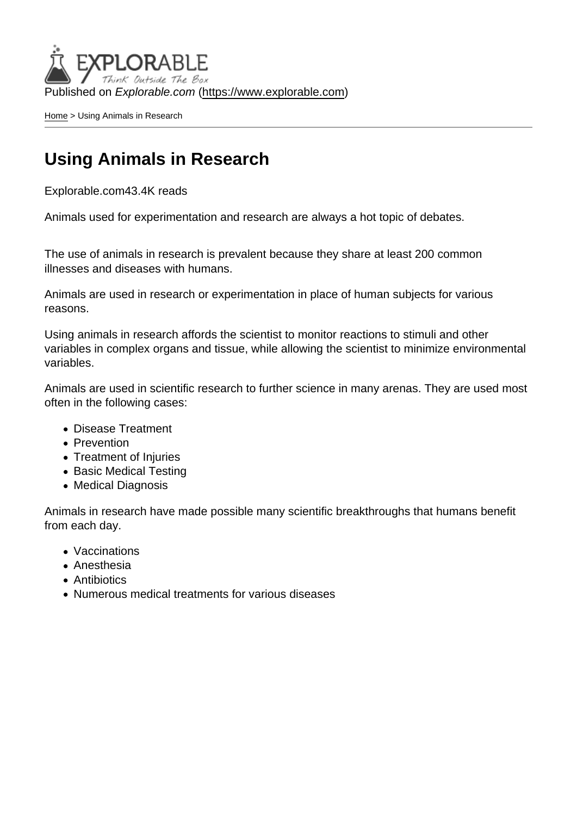Published on Explorable.com (<https://www.explorable.com>)

[Home](https://www.explorable.com/) > Using Animals in Research

### Using Animals in Research

Explorable.com43.4K reads

Animals used for experimentation and research are always a hot topic of debates.

The use of animals in research is prevalent because they share at least 200 common illnesses and diseases with humans.

Animals are used in research or experimentation in place of human subjects for various reasons.

Using animals in research affords the scientist to monitor reactions to stimuli and other variables in complex organs and tissue, while allowing the scientist to minimize environmental variables.

Animals are used in scientific research to further science in many arenas. They are used most often in the following cases:

- Disease Treatment
- Prevention
- Treatment of Injuries
- Basic Medical Testing
- Medical Diagnosis

Animals in research have made possible many scientific breakthroughs that humans benefit from each day.

- Vaccinations
- Anesthesia
- **Antibiotics**
- Numerous medical treatments for various diseases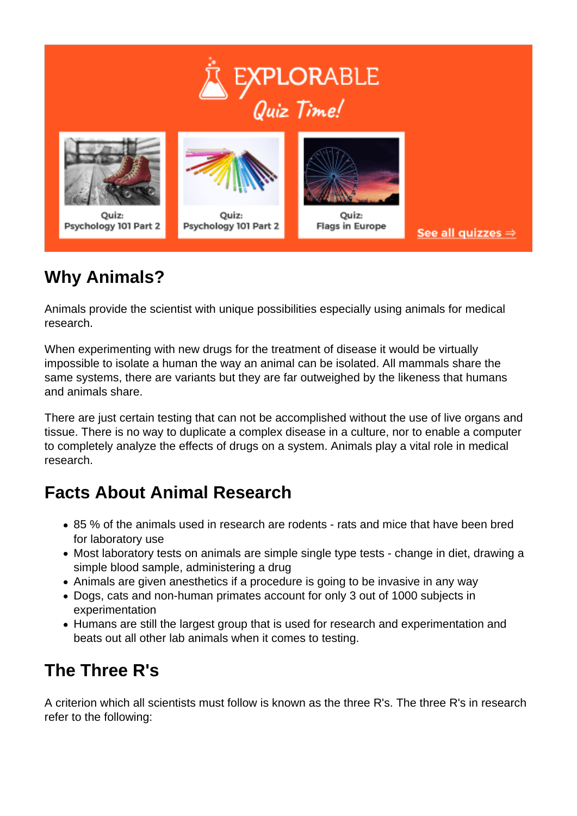

## **Why Animals?**

Animals provide the scientist with unique possibilities especially using animals for medical research.

When experimenting with new drugs for the treatment of disease it would be virtually impossible to isolate a human the way an animal can be isolated. All mammals share the same systems, there are variants but they are far outweighed by the likeness that humans and animals share.

There are just certain testing that can not be accomplished without the use of live organs and tissue. There is no way to duplicate a complex disease in a culture, nor to enable a computer to completely analyze the effects of drugs on a system. Animals play a vital role in medical research.

### **Facts About Animal Research**

- 85 % of the animals used in research are rodents rats and mice that have been bred for laboratory use
- Most laboratory tests on animals are simple single type tests change in diet, drawing a simple blood sample, administering a drug
- Animals are given anesthetics if a procedure is going to be invasive in any way
- Dogs, cats and non-human primates account for only 3 out of 1000 subjects in experimentation
- Humans are still the largest group that is used for research and experimentation and beats out all other lab animals when it comes to testing.

# **The Three R's**

A criterion which all scientists must follow is known as the three R's. The three R's in research refer to the following: